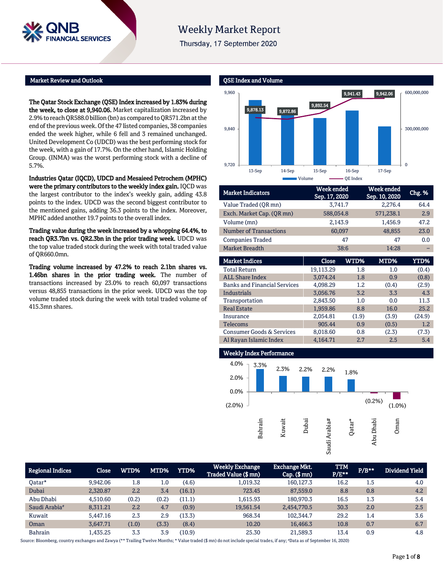

# **Weekly Market Report**

Thursday, 17 September 2020

#### Market Review and Outlook

The Qatar Stock Exchange (QSE) Index increased by 1.83% during the week, to close at 9,940.06. Market capitalization increased by 2.9% to reach QR588.0billion (bn) as compared to QR571.2bn at the end of the previous week. Of the 47 listed companies, 38 companies ended the week higher, while 6 fell and 3 remained unchanged. United Development Co (UDCD) was the best performing stock for the week, with a gain of 17.7%. On the other hand, Islamic Holding Group. (INMA) was the worst performing stock with a decline of 5.7%.

Industries Qatar (IQCD), UDCD and Mesaieed Petrochem (MPHC) were the primary contributors to the weekly index gain. IQCD was the largest contributor to the index's weekly gain, adding 43.8 points to the index. UDCD was the second biggest contributor to the mentioned gains, adding 36.3 points to the index. Moreover, MPHC added another 19.7 points to the overall index.

Trading value during the week increased by a whopping 64.4%, to reach QR3.7bn vs. QR2.3bn in the prior trading week. UDCD was the top value traded stock during the week with total traded value of QR660.0mn.

Trading volume increased by 47.2% to reach 2.1bn shares vs. 1.46bn shares in the prior trading week. The number of transactions increased by 23.0% to reach 60,097 transactions versus 48,855 transactions in the prior week. UDCD was the top volume traded stock during the week with total traded volume of 415.3mn shares.



| <b>Market Indicators</b>      | Week ended<br>Sep. 17, 2020 | Week ended<br>Sep. 10, 2020 | Chg. % |
|-------------------------------|-----------------------------|-----------------------------|--------|
| Value Traded (OR mn)          | 3,741.7                     | 2,276.4                     | 64.4   |
| Exch. Market Cap. (QR mn)     | 588,054.8                   | 571,238.1                   | 2.9    |
| Volume (mn)                   | 2,143.9                     | 1,456.9                     | 47.2   |
| <b>Number of Transactions</b> | 60,097                      | 48,855                      | 23.0   |
| <b>Companies Traded</b>       | 47                          | 47                          | 0.0    |
| <b>Market Breadth</b>         | 38:6                        | 14:28                       |        |

| <b>Market Indices</b>                | Close     | WTD%  | MTD%  | <b>YTD%</b> |
|--------------------------------------|-----------|-------|-------|-------------|
| <b>Total Return</b>                  | 19,113.29 | 1.8   | 1.0   | (0.4)       |
| <b>ALL Share Index</b>               | 3.074.24  | 1.8   | 0.9   | (0.8)       |
| <b>Banks and Financial Services</b>  | 4.098.29  | 1.2   | (0.4) | (2.9)       |
| Industrials                          | 3,056.76  | 3.2   | 3.3   | 4.3         |
| Transportation                       | 2,843.50  | 1.0   | 0.0   | 11.3        |
| <b>Real Estate</b>                   | 1,959.86  | 8.8   | 16.0  | 25.2        |
| Insurance                            | 2,054.81  | (1.9) | (3.9) | (24.9)      |
| <b>Telecoms</b>                      | 905.44    | 0.9   | (0.5) | 1.2         |
| <b>Consumer Goods &amp; Services</b> | 8,018.60  | 0.8   | (2.3) | (7.3)       |
| Al Rayan Islamic Index               | 4,164.71  | 2.7   | 2.5   | 5.4         |



| Regional Indices          | <b>Close</b> | WTD%  | MTD%  | <b>YTD%</b> | <b>Weekly Exchange</b><br>Traded Value (\$ mn) | <b>Exchange Mkt.</b><br>$Cap.$ (\$ mn) | <b>TTM</b><br>$P/E***$ | $P/B***$ | Dividend Yield |
|---------------------------|--------------|-------|-------|-------------|------------------------------------------------|----------------------------------------|------------------------|----------|----------------|
| Oatar*                    | 9.942.06     | 1.8   | 1.0   | (4.6)       | 1,019.32                                       | 160.127.3                              | 16.2                   | 1.5      | 4.0            |
| Dubai                     | 2,320.87     | 2.2   | 3.4   | (16.1)      | 723.45                                         | 87,559.0                               | 8.8                    | 0.8      | 4.2            |
| Abu Dhabi                 | 4.510.60     | (0.2) | (0.2) | (11.1)      | 1.615.93                                       | 180.970.3                              | 16.5                   | 1.3      | 5.4            |
| Saudi Arabia <sup>#</sup> | 8,311.21     | 2.2   | 4.7   | (0.9)       | 19,561.54                                      | 2,454,770.5                            | 30.3                   | 2.0      | 2.5            |
| Kuwait                    | 5.447.16     | 2.3   | 2.9   | (13.3)      | 968.34                                         | 102.344.7                              | 29.2                   | 1.4      | 3.6            |
| Oman                      | 3.647.71     | (1.0) | (3.3) | (8.4)       | 10.20                                          | 16,466.3                               | 10.8                   | 0.7      | 6.7            |
| <b>Bahrain</b>            | 1,435.25     | 3.3   | 3.9   | (10.9)      | 25.30                                          | 21,589.3                               | 13.4                   | 0.9      | 4.8            |

Source: Bloomberg, country exchanges and Zawya (\*\* Trailing Twelve Months; \* Value traded (\$ mn) do not include special trades, if any; #Data as of September 16, 2020)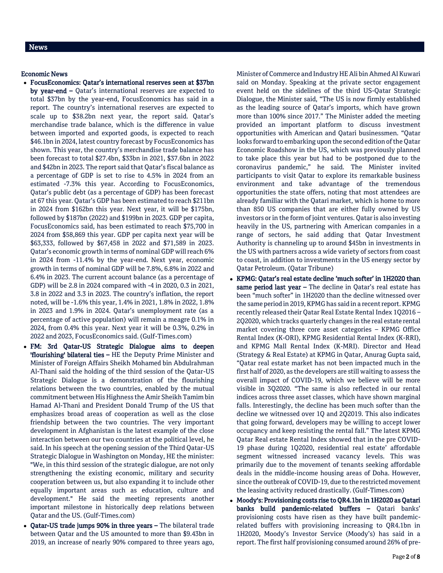#### Economic News

- FocusEconomics: Qatar's international reserves seen at \$37bn by year-end – Qatar's international reserves are expected to total \$37bn by the year-end, FocusEconomics has said in a report. The country's international reserves are expected to scale up to \$38.2bn next year, the report said. Qatar's merchandise trade balance, which is the difference in value between imported and exported goods, is expected to reach \$46.1bn in 2024, latest country forecast by FocusEconomics has shown. This year, the country's merchandise trade balance has been forecast to total \$27.4bn, \$33bn in 2021, \$37.6bn in 2022 and \$42bn in 2023. The report said that Qatar's fiscal balance as a percentage of GDP is set to rise to 4.5% in 2024 from an estimated -7.3% this year. According to FocusEconomics, Qatar's public debt (as a percentage of GDP) has been forecast at 67 this year. Qatar's GDP has been estimated to reach \$211bn in 2024 from \$162bn this year. Next year, it will be \$175bn, followed by \$187bn (2022) and \$199bn in 2023. GDP per capita, FocusEconomics said, has been estimated to reach \$75,700 in 2024 from \$58,869 this year. GDP per capita next year will be \$63,333, followed by \$67,458 in 2022 and \$71,589 in 2023. Qatar's economic growth in terms of nominal GDP will reach 6% in 2024 from -11.4% by the year-end. Next year, economic growth in terms of nominal GDP will be 7.8%, 6.8% in 2022 and 6.4% in 2023. The current account balance (as a percentage of GDP) will be 2.8 in 2024 compared with -4 in 2020, 0.3 in 2021, 3.8 in 2022 and 3.3 in 2023. The country's inflation, the report noted, will be -1.6% this year, 1.4% in 2021, 1.8% in 2022, 1.8% in 2023 and 1.9% in 2024. Qatar's unemployment rate (as a percentage of active population) will remain a meagre 0.1% in 2024, from 0.4% this year. Next year it will be 0.3%, 0.2% in 2022 and 2023, FocusEconomics said. (Gulf-Times.com)
- FM: 3rd Qatar-US Strategic Dialogue aims to deepen 'flourishing' bilateral ties – HE the Deputy Prime Minister and Minister of Foreign Affairs Sheikh Mohamed bin Abdulrahman Al-Thani said the holding of the third session of the Qatar-US Strategic Dialogue is a demonstration of the flourishing relations between the two countries, enabled by the mutual commitment between His Highness the Amir Sheikh Tamim bin Hamad Al-Thani and President Donald Trump of the US that emphasizes broad areas of cooperation as well as the close friendship between the two countries. The very important development in Afghanistan is the latest example of the close interaction between our two countries at the political level, he said. In his speech at the opening session of the Third Qatar-US Strategic Dialogue in Washington on Monday, HE the minister: "We, in this third session of the strategic dialogue, are not only strengthening the existing economic, military and security cooperation between us, but also expanding it to include other equally important areas such as education, culture and development." He said the meeting represents another important milestone in historically deep relations between Qatar and the US. (Gulf-Times.com)
- Qatar-US trade jumps 90% in three years The bilateral trade between Qatar and the US amounted to more than \$9.43bn in 2019, an increase of nearly 90% compared to three years ago,

Minister of Commerce and Industry HE Ali bin Ahmed Al Kuwari said on Monday. Speaking at the private sector engagement event held on the sidelines of the third US-Qatar Strategic Dialogue, the Minister said, "The US is now firmly established as the leading source of Qatar's imports, which have grown more than 100% since 2017." The Minister added the meeting provided an important platform to discuss investment opportunities with American and Qatari businessmen. "Qatar looks forward to embarking upon the second edition of the Qatar Economic Roadshow in the US, which was previously planned to take place this year but had to be postponed due to the coronavirus pandemic," he said. The Minister invited participants to visit Qatar to explore its remarkable business environment and take advantage of the tremendous opportunities the state offers, noting that most attendees are already familiar with the Qatari market, which is home to more than 850 US companies that are either fully owned by US investors or in the form of joint ventures. Qatar is also investing heavily in the US, partnering with American companies in a range of sectors, he said adding that Qatar Investment Authority is channeling up to around \$45bn in investments in the US with partners across a wide variety of sectors from coast to coast, in addition to investments in the US energy sector by Qatar Petroleum. (Qatar Tribune)

- KPMG: Qatar's real estate decline 'much softer' in 1H2020 than same period last year - The decline in Qatar's real estate has been "much softer" in 1H2020 than the decline witnessed over the same period in 2019, KPMG has said in a recent report. KPMG recently released their Qatar Real Estate Rental Index 1Q2016 – 2Q2020, which tracks quarterly changes in the real estate rental market covering three core asset categories – KPMG Office Rental Index (K-ORI), KPMG Residential Rental Index (K-RRI), and KPMG Mall Rental Index (K-MRI). Director and Head (Strategy & Real Estate) at KPMG in Qatar, Anurag Gupta said, "Qatar real estate market has not been impacted much in the first half of 2020, as the developers are still waiting to assess the overall impact of COVID-19, which we believe will be more visible in 3Q2020. "The same is also reflected in our rental indices across three asset classes, which have shown marginal falls. Interestingly, the decline has been much softer than the decline we witnessed over 1Q and 2Q2019. This also indicates that going forward, developers may be willing to accept lower occupancy and keep resisting the rental fall." The latest KPMG Qatar Real estate Rental Index showed that in the pre COVID-19 phase during 1Q2020, residential real estate' affordable segment witnessed increased vacancy levels. This was primarily due to the movement of tenants seeking affordable deals in the middle-income housing areas of Doha. However, since the outbreak of COVID-19, due to the restricted movement the leasing activity reduced drastically. (Gulf-Times.com)
- Moody's: Provisioning costs rise to QR4.1bn in 1H2020 as Qatari banks build pandemic-related buffers – Qatari banks' provisioning costs have risen as they have built pandemicrelated buffers with provisioning increasing to QR4.1bn in 1H2020, Moody's Investor Service (Moody's) has said in a report. The first half provisioning consumed around 26% of pre-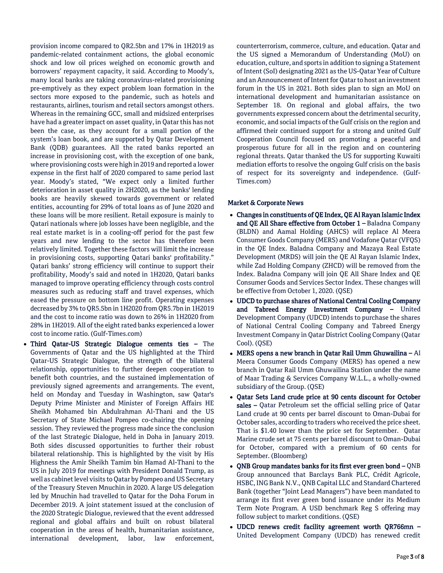provision income compared to QR2.5bn and 17% in 1H2019 as pandemic-related containment actions, the global economic shock and low oil prices weighed on economic growth and borrowers' repayment capacity, it said. According to Moody's, many local banks are taking coronavirus-related provisioning pre-emptively as they expect problem loan formation in the sectors more exposed to the pandemic, such as hotels and restaurants, airlines, tourism and retail sectors amongst others. Whereas in the remaining GCC, small and midsized enterprises have had a greater impact on asset quality, in Qatar this has not been the case, as they account for a small portion of the system's loan book, and are supported by Qatar Development Bank (QDB) guarantees. All the rated banks reported an increase in provisioning cost, with the exception of one bank, where provisioning costs were high in 2019 and reported a lower expense in the first half of 2020 compared to same period last year. Moody's stated, "We expect only a limited further deterioration in asset quality in 2H2020, as the banks' lending books are heavily skewed towards government or related entities, accounting for 29% of total loans as of June 2020 and these loans will be more resilient. Retail exposure is mainly to Qatari nationals where job losses have been negligible, and the real estate market is in a cooling-off period for the past few years and new lending to the sector has therefore been relatively limited. Together these factors will limit the increase in provisioning costs, supporting Qatari banks' profitability." Qatari banks' strong efficiency will continue to support their profitability, Moody's said and noted in 1H2020, Qatari banks managed to improve operating efficiency through costs control measures such as reducing staff and travel expenses, which eased the pressure on bottom line profit. Operating expenses decreased by 3% to QR5.5bn in 1H2020 from QR5.7bn in 1H2019 and the cost to income ratio was down to 26% in 1H2020 from 28% in 1H2019. All of the eight rated banks experienced a lower cost to income ratio. (Gulf-Times.com)

 Third Qatar-US Strategic Dialogue cements ties – The Governments of Qatar and the US highlighted at the Third Qatar-US Strategic Dialogue, the strength of the bilateral relationship, opportunities to further deepen cooperation to benefit both countries, and the sustained implementation of previously signed agreements and arrangements. The event, held on Monday and Tuesday in Washington, saw Qatar's Deputy Prime Minister and Minister of Foreign Affairs HE Sheikh Mohamed bin Abdulrahman Al-Thani and the US Secretary of State Michael Pompeo co-chairing the opening session. They reviewed the progress made since the conclusion of the last Strategic Dialogue, held in Doha in January 2019. Both sides discussed opportunities to further their robust bilateral relationship. This is highlighted by the visit by His Highness the Amir Sheikh Tamim bin Hamad Al-Thani to the US in July 2019 for meetings with President Donald Trump, as well as cabinet level visits to Qatar by Pompeo and US Secretary of the Treasury Steven Mnuchin in 2020. A large US delegation led by Mnuchin had travelled to Qatar for the Doha Forum in December 2019. A joint statement issued at the conclusion of the 2020 Strategic Dialogue, reviewed that the event addressed regional and global affairs and built on robust bilateral cooperation in the areas of health, humanitarian assistance, international development, labor, law enforcement,

counterterrorism, commerce, culture, and education. Qatar and the US signed a Memorandum of Understanding (MoU) on education, culture, and sports in addition to signing a Statement of Intent (SoI) designating 2021 as the US-Qatar Year of Culture and an Announcement of Intent for Qatar to host an investment forum in the US in 2021. Both sides plan to sign an MoU on international development and humanitarian assistance on September 18. On regional and global affairs, the two governments expressed concern about the detrimental security, economic, and social impacts of the Gulf crisis on the region and affirmed their continued support for a strong and united Gulf Cooperation Council focused on promoting a peaceful and prosperous future for all in the region and on countering regional threats. Qatar thanked the US for supporting Kuwaiti mediation efforts to resolve the ongoing Gulf crisis on the basis of respect for its sovereignty and independence. (Gulf-Times.com)

### Market & Corporate News

- Changes in constituents of QE Index, QE Al Rayan Islamic Index and QE All Share effective from October 1 – Baladna Company (BLDN) and Aamal Holding (AHCS) will replace Al Meera Consumer Goods Company (MERS) and Vodafone Qatar (VFQS) in the QE Index. Baladna Company and Mazaya Real Estate Development (MRDS) will join the QE Al Rayan Islamic Index, while Zad Holding Company (ZHCD) will be removed from the Index. Baladna Company will join QE All Share Index and QE Consumer Goods and Services Sector Index. These changes will be effective from October 1, 2020. (QSE)
- UDCD to purchase shares of National Central Cooling Company and Tabreed Energy Investment Company – United Development Company (UDCD) intends to purchase the shares of National Central Cooling Company and Tabreed Energy Investment Company in Qatar District Cooling Company (Qatar Cool). (QSE)
- MERS opens a new branch in Qatar Rail Umm Ghuwailina Al Meera Consumer Goods Company (MERS) has opened a new branch in Qatar Rail Umm Ghuwailina Station under the name of Maar Trading & Services Company W.L.L., a wholly-owned subsidiary of the Group. (QSE)
- Qatar Sets Land crude price at 90 cents discount for October sales - Qatar Petroleum set the official selling price of Qatar Land crude at 90 cents per barrel discount to Oman-Dubai for October sales, according to traders who received the price sheet. That is \$1.40 lower than the price set for September. Qatar Marine crude set at 75 cents per barrel discount to Oman-Dubai for October, compared with a premium of 60 cents for September. (Bloomberg)
- QNB Group mandates banks for its first ever green bond  $-QNB$ Group announced that Barclays Bank PLC, Crédit Agricole, HSBC, ING Bank N.V., QNB Capital LLC and Standard Chartered Bank (together "Joint Lead Managers") have been mandated to arrange its first ever green bond issuance under its Medium Term Note Program. A USD benchmark Reg S offering may follow subject to market conditions. (QSE)
- UDCD renews credit facility agreement worth QR766mn United Development Company (UDCD) has renewed credit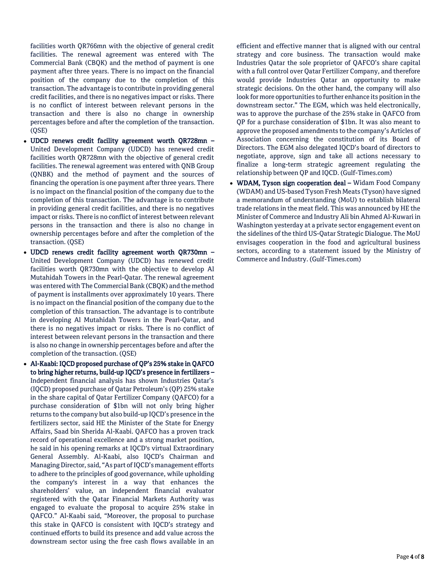facilities worth QR766mn with the objective of general credit facilities. The renewal agreement was entered with The Commercial Bank (CBQK) and the method of payment is one payment after three years. There is no impact on the financial position of the company due to the completion of this transaction. The advantage is to contribute in providing general credit facilities, and there is no negatives impact or risks. There is no conflict of interest between relevant persons in the transaction and there is also no change in ownership percentages before and after the completion of the transaction. (QSE)

- UDCD renews credit facility agreement worth QR728mn United Development Company (UDCD) has renewed credit facilities worth QR728mn with the objective of general credit facilities. The renewal agreement was entered with QNB Group (QNBK) and the method of payment and the sources of financing the operation is one payment after three years. There is no impact on the financial position of the company due to the completion of this transaction. The advantage is to contribute in providing general credit facilities, and there is no negatives impact or risks. There is no conflict of interest between relevant persons in the transaction and there is also no change in ownership percentages before and after the completion of the transaction. (QSE)
- UDCD renews credit facility agreement worth QR730mn United Development Company (UDCD) has renewed credit facilities worth QR730mn with the objective to develop Al Mutahidah Towers in the Pearl-Qatar. The renewal agreement was entered with The Commercial Bank (CBQK) and the method of payment is installments over approximately 10 years. There is no impact on the financial position of the company due to the completion of this transaction. The advantage is to contribute in developing Al Mutahidah Towers in the Pearl-Qatar, and there is no negatives impact or risks. There is no conflict of interest between relevant persons in the transaction and there is also no change in ownership percentages before and after the completion of the transaction. (QSE)
- Al-Kaabi: IQCD proposed purchase of QP's 25% stake in QAFCO to bring higher returns, build-up IQCD's presence in fertilizers – Independent financial analysis has shown Industries Qatar's (IQCD) proposed purchase of Qatar Petroleum's (QP) 25% stake in the share capital of Qatar Fertilizer Company (QAFCO) for a purchase consideration of \$1bn will not only bring higher returns to the company but also build-up IQCD's presence in the fertilizers sector, said HE the Minister of the State for Energy Affairs, Saad bin Sherida Al-Kaabi. QAFCO has a proven track record of operational excellence and a strong market position, he said in his opening remarks at IQCD's virtual Extraordinary General Assembly. Al-Kaabi, also IQCD's Chairman and Managing Director, said, "As part of IQCD's management efforts to adhere to the principles of good governance, while upholding the company's interest in a way that enhances the shareholders' value, an independent financial evaluator registered with the Qatar Financial Markets Authority was engaged to evaluate the proposal to acquire 25% stake in QAFCO." Al-Kaabi said, "Moreover, the proposal to purchase this stake in QAFCO is consistent with IQCD's strategy and continued efforts to build its presence and add value across the downstream sector using the free cash flows available in an

efficient and effective manner that is aligned with our central strategy and core business. The transaction would make Industries Qatar the sole proprietor of QAFCO's share capital with a full control over Qatar Fertilizer Company, and therefore would provide Industries Qatar an opportunity to make strategic decisions. On the other hand, the company will also look for more opportunities to further enhance its position in the downstream sector." The EGM, which was held electronically, was to approve the purchase of the 25% stake in QAFCO from QP for a purchase consideration of \$1bn. It was also meant to approve the proposed amendments to the company's Articles of Association concerning the constitution of its Board of Directors. The EGM also delegated IQCD's board of directors to negotiate, approve, sign and take all actions necessary to finalize a long-term strategic agreement regulating the relationship between QP and IQCD. (Gulf-Times.com)

• WDAM, Tyson sign cooperation deal - Widam Food Company (WDAM) and US-based Tyson Fresh Meats (Tyson) have signed a memorandum of understanding (MoU) to establish bilateral trade relations in the meat field. This was announced by HE the Minister of Commerce and Industry Ali bin Ahmed Al-Kuwari in Washington yesterday at a private sector engagement event on the sidelines of the third US-Qatar Strategic Dialogue. The MoU envisages cooperation in the food and agricultural business sectors, according to a statement issued by the Ministry of Commerce and Industry. (Gulf-Times.com)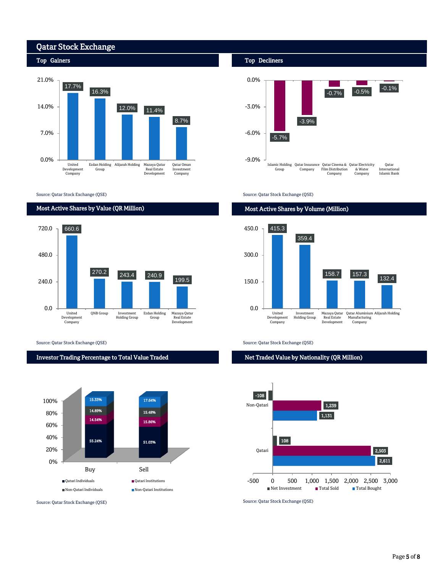

Source: Qatar Stock Exchange (QSE)

#### Most Active Shares by Value (QR Million)



Source: Qatar Stock Exchange (QSE) Source: Qatar Stock Exchange (QSE)

# Investor Trading Percentage to Total Value Traded



#### Top Decliners



Source: Qatar Stock Exchange (QSE)

### Most Active Shares by Volume (Million)



Net Traded Value by Nationality (QR Million)



Source: Qatar Stock Exchange (QSE) Source: Qatar Stock Exchange (QSE)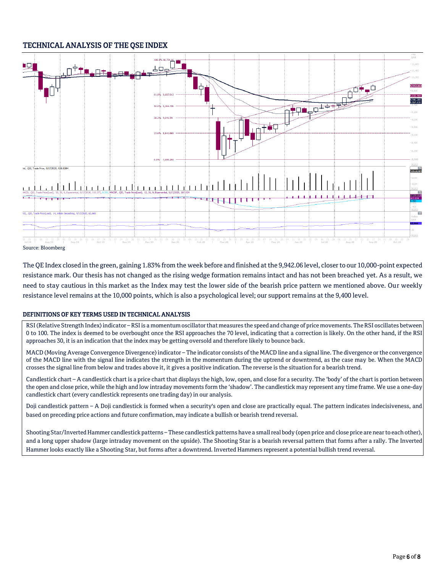# TECHNICAL ANALYSIS OF THE QSE INDEX



The QE Index closed in the green, gaining 1.83% from the week before and finished at the 9,942.06 level, closer to our 10,000-point expected resistance mark. Our thesis has not changed as the rising wedge formation remains intact and has not been breached yet. As a result, we need to stay cautious in this market as the Index may test the lower side of the bearish price pattern we mentioned above. Our weekly resistance level remains at the 10,000 points, which is also a psychological level; our support remains at the 9,400 level.

## DEFINITIONS OF KEY TERMS USED IN TECHNICAL ANALYSIS

RSI (Relative Strength Index) indicator – RSI is a momentum oscillator that measures the speed and change of price movements. The RSI oscillates between 0 to 100. The index is deemed to be overbought once the RSI approaches the 70 level, indicating that a correction is likely. On the other hand, if the RSI approaches 30, it is an indication that the index may be getting oversold and therefore likely to bounce back.

MACD (Moving Average Convergence Divergence) indicator – The indicator consists of the MACD line and a signal line. The divergence or the convergence of the MACD line with the signal line indicates the strength in the momentum during the uptrend or downtrend, as the case may be. When the MACD crosses the signal line from below and trades above it, it gives a positive indication. The reverse is the situation for a bearish trend.

Candlestick chart – A candlestick chart is a price chart that displays the high, low, open, and close for a security. The 'body' of the chart is portion between the open and close price, while the high and low intraday movements form the 'shadow'. The candlestick may represent any time frame. We use a one-day candlestick chart (every candlestick represents one trading day) in our analysis.

Doji candlestick pattern – A Doji candlestick is formed when a security's open and close are practically equal. The pattern indicates indecisiveness, and based on preceding price actions and future confirmation, may indicate a bullish or bearish trend reversal.

Shooting Star/Inverted Hammer candlestick patterns – These candlestick patterns have a small real body (open price and close price are near to each other), and a long upper shadow (large intraday movement on the upside). The Shooting Star is a bearish reversal pattern that forms after a rally. The Inverted Hammer looks exactly like a Shooting Star, but forms after a downtrend. Inverted Hammers represent a potential bullish trend reversal.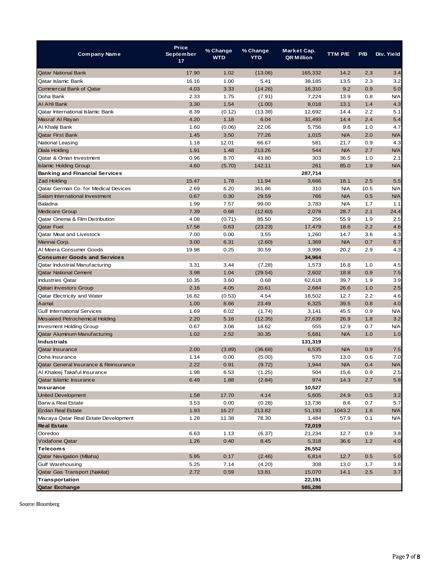| <b>Company Name</b>                   | <b>Price</b><br><b>September</b><br>17 | % Change<br><b>WTD</b> | % Change<br><b>YTD</b> | Market Cap.<br><b>QR Million</b> | TTM P/E    | P/B   | Div. Yield |
|---------------------------------------|----------------------------------------|------------------------|------------------------|----------------------------------|------------|-------|------------|
| Qatar National Bank                   | 17.90                                  | 1.02                   | (13.06)                | 165,332                          | 14.2       | 2.3   | 3.4        |
| Qatar Islamic Bank                    | 16.16                                  | 1.00                   | 5.41                   | 38,185                           | 13.5       | 2.3   | 3.2        |
| Commercial Bank of Qatar              | 4.03                                   | 3.33                   | (14.26)                | 16,310                           | 9.2        | 0.9   | 5.0        |
| Doha Bank                             | 2.33                                   | 1.75                   | (7.91)                 | 7,224                            | 13.9       | 0.8   | N/A        |
| Al Ahli Bank                          | 3.30                                   | 1.54                   | (1.00)                 | 8,018                            | 13.1       | 1.4   | 4.3        |
| Qatar International Islamic Bank      | 8.39                                   | (0.12)                 | (13.38)                | 12,692                           | 14.4       | 2.2   | 5.1        |
| Masraf Al Rayan                       | 4.20                                   | 1.18                   | 6.04                   | 31,493                           | 14.4       | 2.4   | 5.4        |
| Al Khaliji Bank                       | 1.60                                   | (0.06)                 | 22.06                  | 5,756                            | 9.6        | 1.0   | 4.7        |
| <b>Qatar First Bank</b>               | 1.45                                   | 3.50                   | 77.26                  | 1,015                            | <b>N/A</b> | 2.0   | <b>N/A</b> |
| National Leasing                      | 1.18                                   | 12.01                  | 66.67                  | 581                              | 21.7       | 0.9   | 4.3        |
| Dlala Holding                         | 1.91                                   | 1.48                   | 213.26                 | 544                              | <b>N/A</b> | 2.7   | <b>N/A</b> |
| Qatar & Oman Investment               | 0.96                                   | 8.70                   | 43.80                  | 303                              | 36.5       | 1.0   | 2.1        |
| <b>Islamic Holding Group</b>          | 4.60                                   | (5.70)                 | 142.11                 | 261                              | 85.0       | 1.9   | <b>N/A</b> |
| <b>Banking and Financial Services</b> |                                        |                        |                        | 287,714                          |            |       |            |
| <b>Zad Holding</b>                    | 15.47                                  | 1.78                   | 11.94                  | 3,666                            | 18.1       | 2.5   | 5.5        |
| Qatar German Co. for Medical Devices  | 2.69                                   | 6.20                   | 361.86                 | 310                              | N/A        | 10.5  | N/A        |
| Salam International Investment        | 0.67                                   | 0.30                   | 29.59                  | 766                              | <b>N/A</b> | 0.5   | <b>N/A</b> |
| Baladna                               | 1.99                                   | 7.57                   | 99.00                  | 3,783                            | N/A        | 1.7   | 1.1        |
| <b>Medicare Group</b>                 | 7.39                                   | 0.68                   | (12.60)                | 2,078                            | 28.7       | 2.1   | 24.4       |
| Qatar Cinema & Film Distribution      | 4.08                                   | (0.71)                 | 85.50                  | 256                              | 55.9       | 1.9   | 2.5        |
| <b>Qatar Fuel</b>                     | 17.58                                  | 0.63                   | (23.23)                | 17,479                           | 18.6       | 2.2   | 4.6        |
| Qatar Meat and Livestock              | 7.00                                   | 0.00                   | 3.55                   | 1,260                            | 14.7       | 3.6   | 4.3        |
| Mannai Corp.                          | 3.00                                   | 6.31                   | (2.60)                 | 1,369                            | <b>N/A</b> | 0.7   | 6.7        |
| Al Meera Consumer Goods               | 19.98                                  | 0.25                   | 30.59                  | 3,996                            | 20.2       | 2.9   | 4.3        |
| <b>Consumer Goods and Services</b>    |                                        |                        |                        | 34,964                           |            |       |            |
| Qatar Industrial Manufacturing        | 3.31                                   | 3.44                   | (7.28)                 | 1,573                            | 16.8       | 1.0   | 4.5        |
| <b>Qatar National Cement</b>          | 3.98                                   | 1.04                   | (29.54)                | 2,602                            | 18.8       | 0.9   | 7.5        |
| <b>Industries Qatar</b>               | 10.35                                  | 3.60                   | 0.68                   | 62,618                           | 39.7       | 1.9   | 3.9        |
| Qatari Investors Group                | 2.16                                   | 4.05                   | 20.61                  | 2,684                            | 26.6       | 1.0   | 2.5        |
| Qatar Electricity and Water           | 16.82                                  | (0.53)                 | 4.54                   | 18,502                           | 12.7       | 2.2   | 4.6        |
| Aamal                                 | 1.00                                   | 8.66                   | 23.49                  | 6,325                            | 39.5       | 0.8   | 4.0        |
| <b>Gulf International Services</b>    | 1.69                                   | 6.02                   | (1.74)                 | 3,141                            | 45.5       | 0.9   | N/A        |
| Mesaieed Petrochemical Holding        | 2.20                                   | 5.16                   | (12.35)                | 27,639                           | 26.9       | 1.8   | 3.2        |
| <b>Invesment Holding Group</b>        | 0.67                                   | 3.08                   | 18.62                  | 555                              | 12.9       | 0.7   | N/A        |
| <b>Qatar Aluminum Manufacturing</b>   | 1.02                                   | 2.52                   | 30.35                  | 5,681                            | <b>N/A</b> | 1.0   | 1.0        |
| <b>Industrials</b>                    |                                        |                        |                        | 131,319                          |            |       |            |
| <b>Qatar Insurance</b>                | 2.00                                   | (3.89)                 | (36.68)                | 6,535                            | <b>N/A</b> | 0.9   | 7.5        |
| Doha Insurance                        | 1.14                                   | 0.00                   | (5.00)                 | 570                              | 13.0       | 0.6   | 7.0        |
| Qatar General Insurance & Reinsurance | 2.22                                   | 0.91                   | (9.72)                 | 1,944                            | <b>N/A</b> | 0.4   | N/A        |
| Al Khaleej Takaful Insurance          | 1.98                                   | 6.53                   | (1.25)                 | 504                              | 15.6       | 0.9   | 2.5        |
| Qatar Islamic Insurance               | 6.49                                   | 1.88                   | (2.84)                 | 974                              | 14.3       | 2.7   | 5.8        |
| Insurance                             |                                        |                        |                        | 10,527                           |            |       |            |
| <b>United Development</b>             | 1.58                                   | 17.70                  | 4.14                   | 5,605                            | 24.9       | 0.5   | 3.2        |
| Barw a Real Estate                    | 3.53                                   | 0.00                   | (0.28)                 | 13,736                           | 8.6        | 0.7   | 5.7        |
| <b>Ezdan Real Estate</b>              | 1.93                                   | 16.27                  | 213.82                 | 51,193                           | 1043.2     | 1.6   | <b>N/A</b> |
| Mazaya Qatar Real Estate Development  | 1.28                                   | 11.38                  | 78.30                  | 1,484                            | 57.9       | 0.1   | <b>N/A</b> |
| <b>Real Estate</b>                    |                                        |                        |                        | 72,019                           |            |       |            |
| Ooredoo                               | 6.63                                   | 1.13                   | (6.37)                 | 21,234                           | 12.7       | 0.9   | 3.8        |
| <b>Vodafone Qatar</b>                 | 1.26                                   | 0.40                   | 8.45                   | 5,318                            | 36.6       | $1.2$ | 4.0        |
| Telecoms                              |                                        |                        |                        | 26,552                           |            |       |            |
| <b>Qatar Navigation (Milaha)</b>      | 5.95                                   | 0.17                   | (2.46)                 | 6,814                            | 12.7       | 0.5   | 5.0        |
| Gulf Warehousing                      | 5.25                                   | 7.14                   | (4.20)                 | 308                              | 13.0       | 1.7   | 3.8        |
| Qatar Gas Transport (Nakilat)         | 2.72                                   | 0.59                   | 13.81                  | 15,070                           | 14.1       | 2.5   | 3.7        |
| Transportation                        |                                        |                        |                        | 22,191                           |            |       |            |
| Qatar Exchange                        |                                        |                        |                        | 585,286                          |            |       |            |